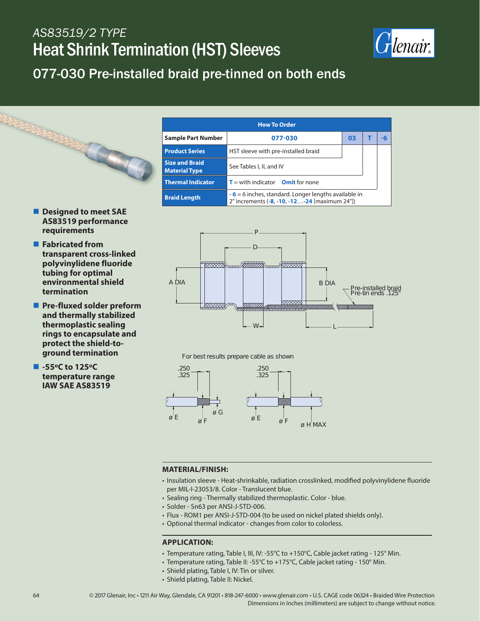## *AS83519/2 TYPE* Heat Shrink Termination (HST) Sleeves



### 077-030 Pre-installed braid pre-tinned on both ends



- **Designed to meet SAE AS83519 performance requirements**
- **Fabricated from transparent cross-linked polyvinylidene fluoride tubing for optimal environmental shield termination**
- **Pre-fluxed solder preform and thermally stabilized thermoplastic sealing rings to encapsulate and protect the shield-toground termination**
- -55°C to 125°C **temperature range IAW SAE AS83519**



For best results prepare cable as shown



#### **MATERIAL/FINISH:**

- Insulation sleeve Heat-shrinkable, radiation crosslinked, modified polyvinylidene fluoride per MIL-I-23053/8. Color - Translucent blue.
- Sealing ring Thermally stabilized thermoplastic. Color blue.
- Solder Sn63 per ANSI-J-STD-006.
- Flux ROM1 per ANSI-J-STD-004 (to be used on nickel plated shields only).
- Optional thermal indicator changes from color to colorless.

#### **APPLICATION:**

- Temperature rating, Table I, III, IV: -55°C to +150°C, Cable jacket rating 125° Min.
- Temperature rating, Table II: -55°C to +175°C, Cable jacket rating 150° Min.
- Shield plating, Table I, IV: Tin or silver.
- Shield plating, Table II: Nickel.